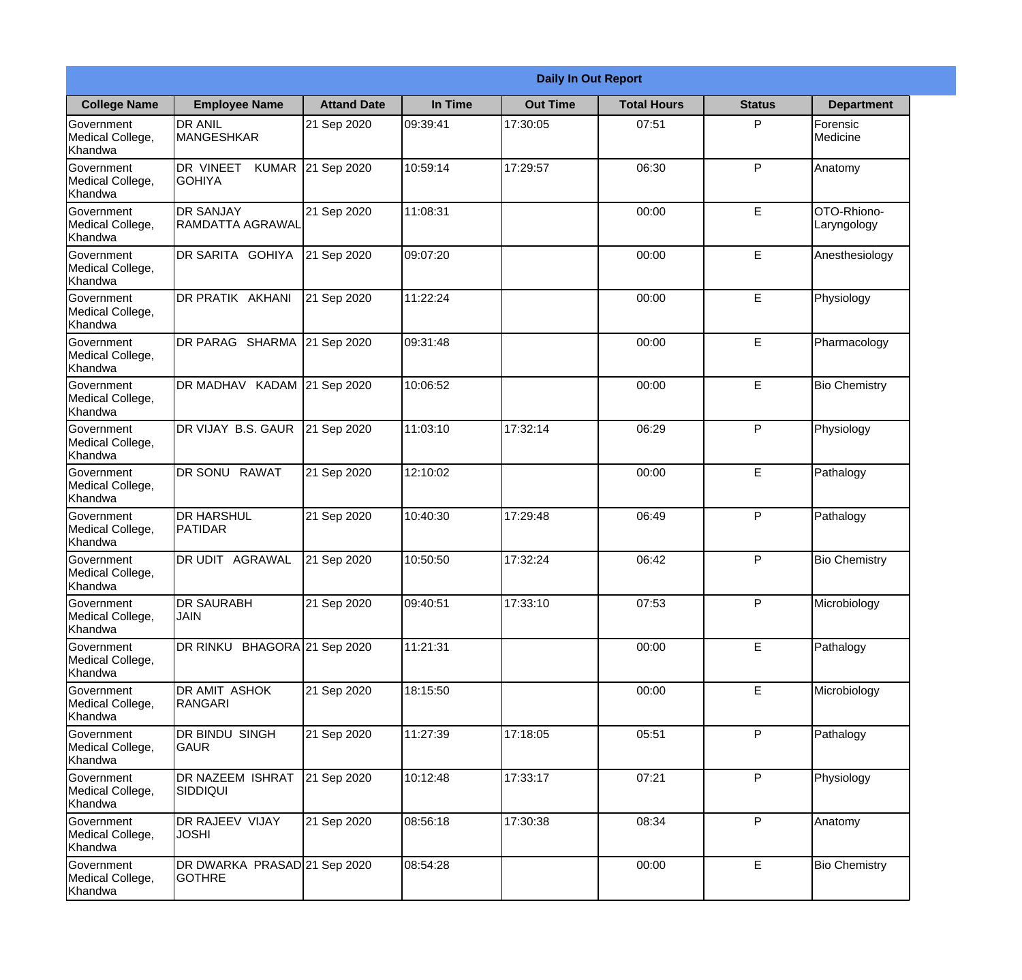|                                           |                                               |                    |          | <b>Daily In Out Report</b> |                    |               |                            |
|-------------------------------------------|-----------------------------------------------|--------------------|----------|----------------------------|--------------------|---------------|----------------------------|
| <b>College Name</b>                       | <b>Employee Name</b>                          | <b>Attand Date</b> | In Time  | <b>Out Time</b>            | <b>Total Hours</b> | <b>Status</b> | <b>Department</b>          |
| Government<br>Medical College,<br>Khandwa | <b>DR ANIL</b><br><b>MANGESHKAR</b>           | 21 Sep 2020        | 09:39:41 | 17:30:05                   | 07:51              | P             | Forensic<br>Medicine       |
| Government<br>Medical College,<br>Khandwa | DR VINEET<br><b>KUMAR</b><br><b>GOHIYA</b>    | 21 Sep 2020        | 10:59:14 | 17:29:57                   | 06:30              | P             | Anatomy                    |
| Government<br>Medical College,<br>Khandwa | <b>DR SANJAY</b><br><b>RAMDATTA AGRAWAL</b>   | 21 Sep 2020        | 11:08:31 |                            | 00:00              | E             | OTO-Rhiono-<br>Laryngology |
| Government<br>Medical College,<br>Khandwa | DR SARITA GOHIYA                              | 21 Sep 2020        | 09:07:20 |                            | 00:00              | E             | Anesthesiology             |
| Government<br>Medical College,<br>Khandwa | DR PRATIK AKHANI                              | 21 Sep 2020        | 11:22:24 |                            | 00:00              | E             | Physiology                 |
| Government<br>Medical College,<br>Khandwa | DR PARAG SHARMA                               | 21 Sep 2020        | 09:31:48 |                            | 00:00              | E             | Pharmacology               |
| Government<br>Medical College,<br>Khandwa | DR MADHAV KADAM 21 Sep 2020                   |                    | 10:06:52 |                            | 00:00              | E             | <b>Bio Chemistry</b>       |
| Government<br>Medical College,<br>Khandwa | DR VIJAY B.S. GAUR                            | 21 Sep 2020        | 11:03:10 | 17:32:14                   | 06:29              | P             | Physiology                 |
| Government<br>Medical College,<br>Khandwa | DR SONU RAWAT                                 | 21 Sep 2020        | 12:10:02 |                            | 00:00              | E             | Pathalogy                  |
| Government<br>Medical College,<br>Khandwa | <b>DR HARSHUL</b><br>PATIDAR                  | 21 Sep 2020        | 10:40:30 | 17:29:48                   | 06:49              | P             | Pathalogy                  |
| Government<br>Medical College,<br>Khandwa | <b>DR UDIT</b><br><b>AGRAWAL</b>              | 21 Sep 2020        | 10:50:50 | 17:32:24                   | 06:42              | $\mathsf{P}$  | <b>Bio Chemistry</b>       |
| Government<br>Medical College,<br>Khandwa | <b>DR SAURABH</b><br><b>JAIN</b>              | 21 Sep 2020        | 09:40:51 | 17:33:10                   | 07:53              | P             | Microbiology               |
| Government<br>Medical College,<br>Khandwa | DR RINKU BHAGORA 21 Sep 2020                  |                    | 11:21:31 |                            | 00:00              | E             | Pathalogy                  |
| Government<br>Medical College,<br>Khandwa | DR AMIT ASHOK<br><b>RANGARI</b>               | 21 Sep 2020        | 18:15:50 |                            | 00:00              | E             | Microbiology               |
| Government<br>Medical College,<br>Khandwa | DR BINDU SINGH<br>GAUR                        | 21 Sep 2020        | 11:27:39 | 17:18:05                   | 05:51              | $\mathsf{P}$  | Pathalogy                  |
| Government<br>Medical College,<br>Khandwa | DR NAZEEM ISHRAT<br><b>SIDDIQUI</b>           | 21 Sep 2020        | 10:12:48 | 17:33:17                   | 07:21              | P             | Physiology                 |
| Government<br>Medical College,<br>Khandwa | DR RAJEEV VIJAY<br><b>JOSHI</b>               | 21 Sep 2020        | 08:56:18 | 17:30:38                   | 08:34              | P             | Anatomy                    |
| Government<br>Medical College,<br>Khandwa | DR DWARKA PRASAD 21 Sep 2020<br><b>GOTHRE</b> |                    | 08:54:28 |                            | 00:00              | E             | <b>Bio Chemistry</b>       |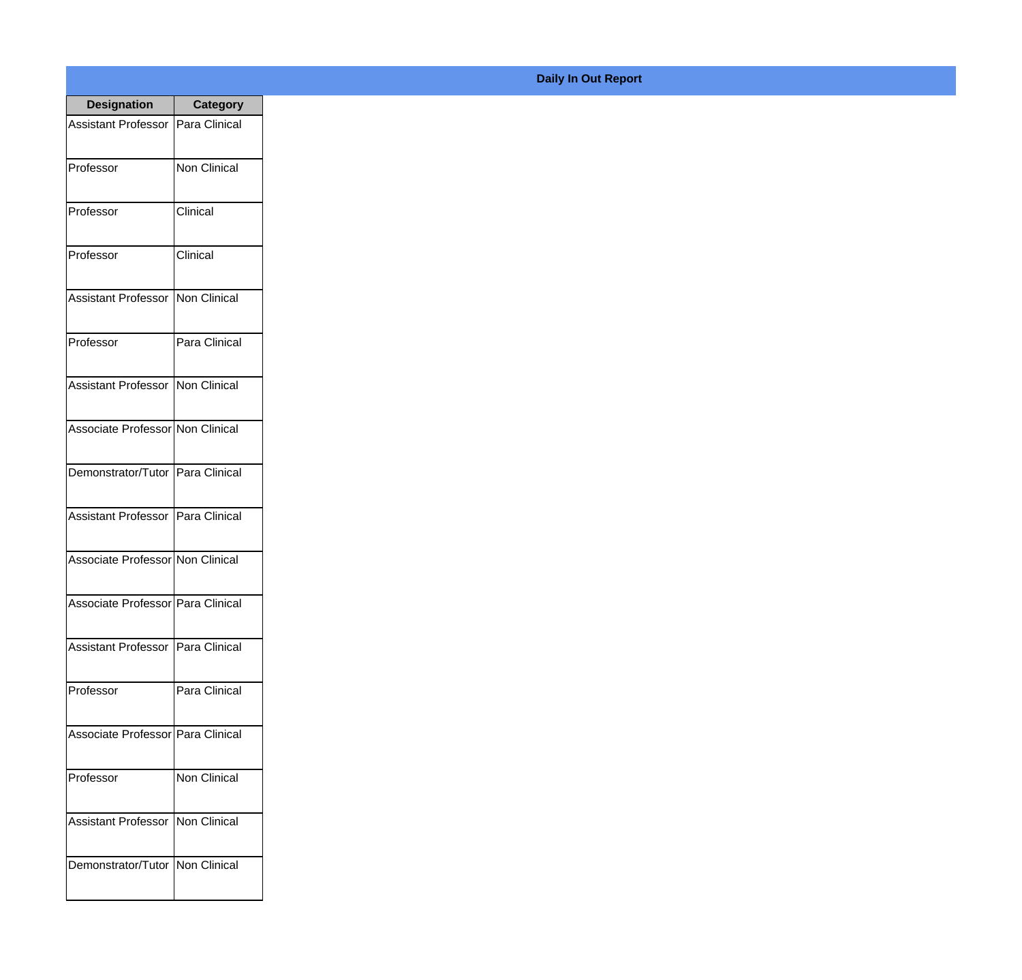| <b>Designation</b>                  | <b>Category</b> |
|-------------------------------------|-----------------|
| Assistant Professor   Para Clinical |                 |
| Professor                           | Non Clinical    |
| Professor                           | Clinical        |
| Professor                           | Clinical        |
| <b>Assistant Professor</b>          | Non Clinical    |
| Professor                           | Para Clinical   |
| Assistant Professor   Non Clinical  |                 |
| Associate Professor Non Clinical    |                 |
| Demonstrator/Tutor   Para Clinical  |                 |
| <b>Assistant Professor</b>          | Para Clinical   |
| Associate Professor Non Clinical    |                 |
| Associate Professor Para Clinical   |                 |
| Assistant Professor   Para Clinical |                 |
| Professor                           | Para Clinical   |
| Associate Professor   Para Clinical |                 |
| Professor                           | Non Clinical    |
| <b>Assistant Professor</b>          | Non Clinical    |
| Demonstrator/Tutor   Non Clinical   |                 |

## **Daily In Out Report**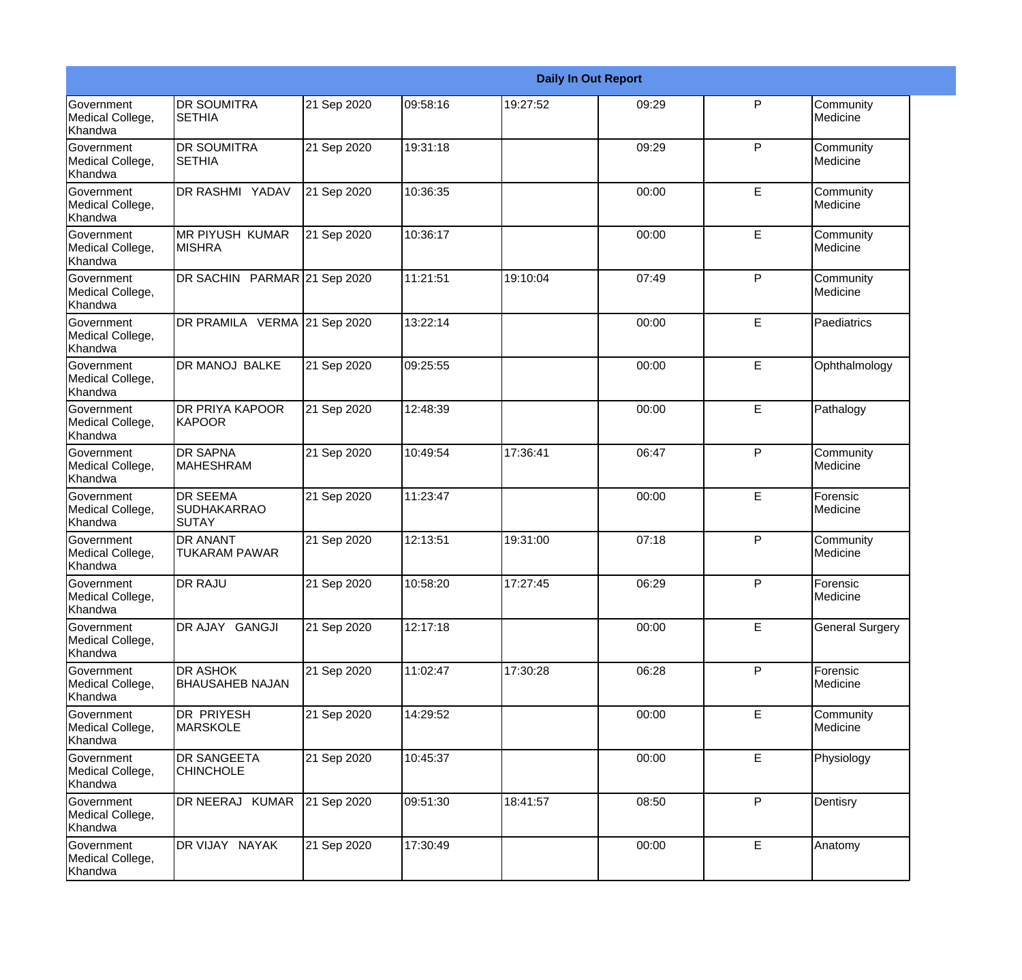|                                                  |                                                       |             |          |          | <b>Daily In Out Report</b> |              |                        |
|--------------------------------------------------|-------------------------------------------------------|-------------|----------|----------|----------------------------|--------------|------------------------|
| Government<br>Medical College,<br>Khandwa        | <b>DR SOUMITRA</b><br><b>SETHIA</b>                   | 21 Sep 2020 | 09:58:16 | 19:27:52 | 09:29                      | $\mathsf{P}$ | Community<br>Medicine  |
| Government<br>Medical College,<br>Khandwa        | <b>DR SOUMITRA</b><br><b>SETHIA</b>                   | 21 Sep 2020 | 19:31:18 |          | 09:29                      | $\mathsf{P}$ | Community<br>Medicine  |
| <b>Government</b><br>Medical College,<br>Khandwa | DR RASHMI YADAV                                       | 21 Sep 2020 | 10:36:35 |          | 00:00                      | E            | Community<br>Medicine  |
| Government<br>Medical College,<br>Khandwa        | IMR PIYUSH KUMAR<br><b>MISHRA</b>                     | 21 Sep 2020 | 10:36:17 |          | 00:00                      | E            | Community<br>Medicine  |
| Government<br>Medical College,<br>Khandwa        | DR SACHIN PARMAR 21 Sep 2020                          |             | 11:21:51 | 19:10:04 | 07:49                      | $\mathsf{P}$ | Community<br>Medicine  |
| Government<br>Medical College,<br>Khandwa        | DR PRAMILA VERMA 21 Sep 2020                          |             | 13:22:14 |          | 00:00                      | E            | Paediatrics            |
| <b>Government</b><br>Medical College,<br>Khandwa | <b>DR MANOJ BALKE</b>                                 | 21 Sep 2020 | 09:25:55 |          | 00:00                      | E            | Ophthalmology          |
| Government<br>Medical College,<br>Khandwa        | DR PRIYA KAPOOR<br><b>KAPOOR</b>                      | 21 Sep 2020 | 12:48:39 |          | 00:00                      | E            | Pathalogy              |
| <b>Government</b><br>Medical College,<br>Khandwa | <b>DR SAPNA</b><br><b>MAHESHRAM</b>                   | 21 Sep 2020 | 10:49:54 | 17:36:41 | 06:47                      | P            | Community<br>Medicine  |
| Government<br>Medical College,<br>Khandwa        | <b>DR SEEMA</b><br><b>SUDHAKARRAO</b><br><b>SUTAY</b> | 21 Sep 2020 | 11:23:47 |          | 00:00                      | E            | Forensic<br>Medicine   |
| <b>Government</b><br>Medical College,<br>Khandwa | <b>DR ANANT</b><br><b>TUKARAM PAWAR</b>               | 21 Sep 2020 | 12:13:51 | 19:31:00 | 07:18                      | P            | Community<br>Medicine  |
| Government<br>Medical College,<br>Khandwa        | DR RAJU                                               | 21 Sep 2020 | 10:58:20 | 17:27:45 | 06:29                      | P            | Forensic<br>Medicine   |
| Government<br>Medical College,<br>Khandwa        | DR AJAY GANGJI                                        | 21 Sep 2020 | 12:17:18 |          | 00:00                      | E            | <b>General Surgery</b> |
| <b>Government</b><br>Medical College,<br>Khandwa | DR ASHOK<br><b>BHAUSAHEB NAJAN</b>                    | 21 Sep 2020 | 11:02:47 | 17:30:28 | 06:28                      | P            | Forensic<br>Medicine   |
| Government<br>Medical College,<br>Khandwa        | <b>DR PRIYESH</b><br><b>MARSKOLE</b>                  | 21 Sep 2020 | 14:29:52 |          | 00:00                      | E            | Community<br>Medicine  |
| Government<br>Medical College,<br>Khandwa        | DR SANGEETA<br><b>CHINCHOLE</b>                       | 21 Sep 2020 | 10:45:37 |          | 00:00                      | E            | Physiology             |
| Government<br>Medical College,<br>Khandwa        | DR NEERAJ KUMAR                                       | 21 Sep 2020 | 09:51:30 | 18:41:57 | 08:50                      | P            | Dentisry               |
| Government<br>Medical College,<br>Khandwa        | DR VIJAY NAYAK                                        | 21 Sep 2020 | 17:30:49 |          | 00:00                      | E            | Anatomy                |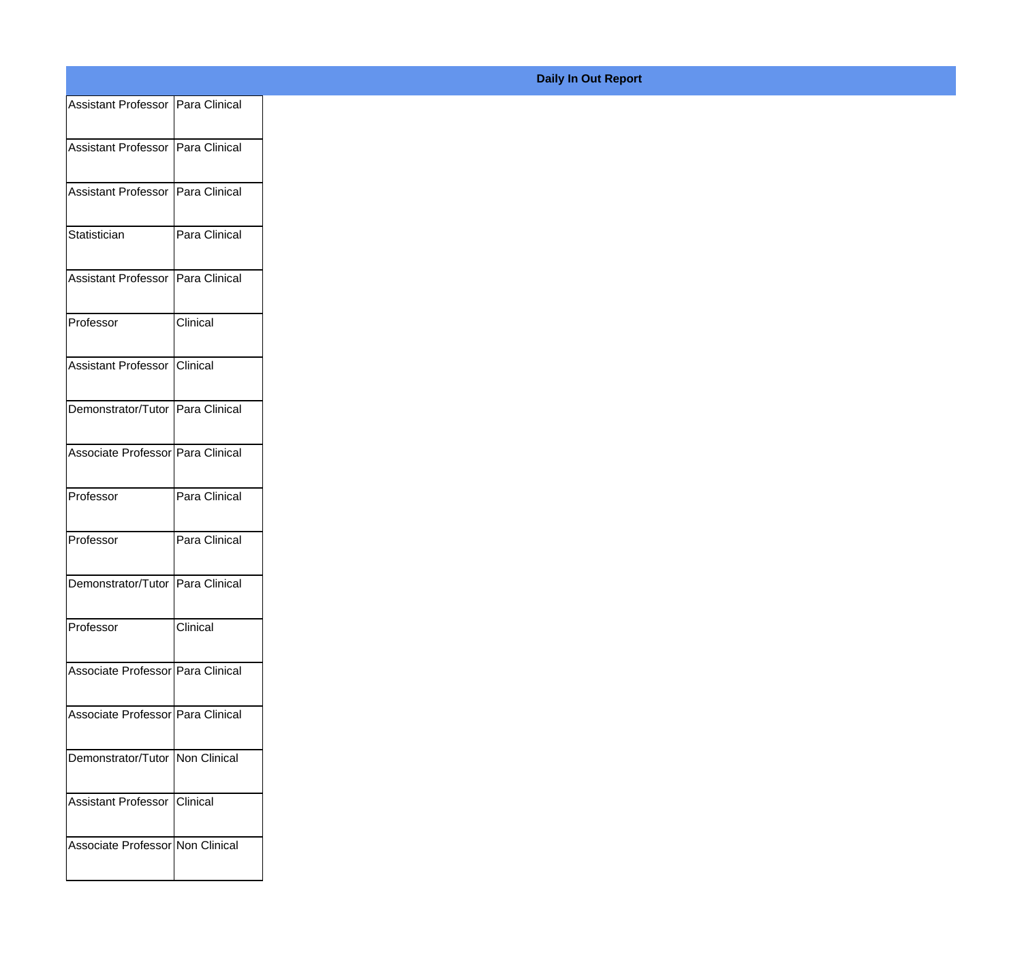| Assistant Professor   Para Clinical |               |
|-------------------------------------|---------------|
|                                     |               |
| Assistant Professor   Para Clinical |               |
| Assistant Professor   Para Clinical |               |
|                                     |               |
| Statistician                        | Para Clinical |
| Assistant Professor   Para Clinical |               |
|                                     |               |
| Professor                           | Clinical      |
|                                     |               |
| Assistant Professor Clinical        |               |
| Demonstrator/Tutor Para Clinical    |               |
|                                     |               |
| Associate Professor Para Clinical   |               |
| Professor                           | Para Clinical |
|                                     |               |
| Professor                           | Para Clinical |
| Demonstrator/Tutor Para Clinical    |               |
|                                     |               |
| Professor                           | Clinical      |
| Associate Professor   Para Clinical |               |
|                                     |               |
| Associate Professor Para Clinical   |               |
| Demonstrator/Tutor   Non Clinical   |               |
|                                     |               |
| Assistant Professor   Clinical      |               |
|                                     |               |
| Associate Professor Non Clinical    |               |
|                                     |               |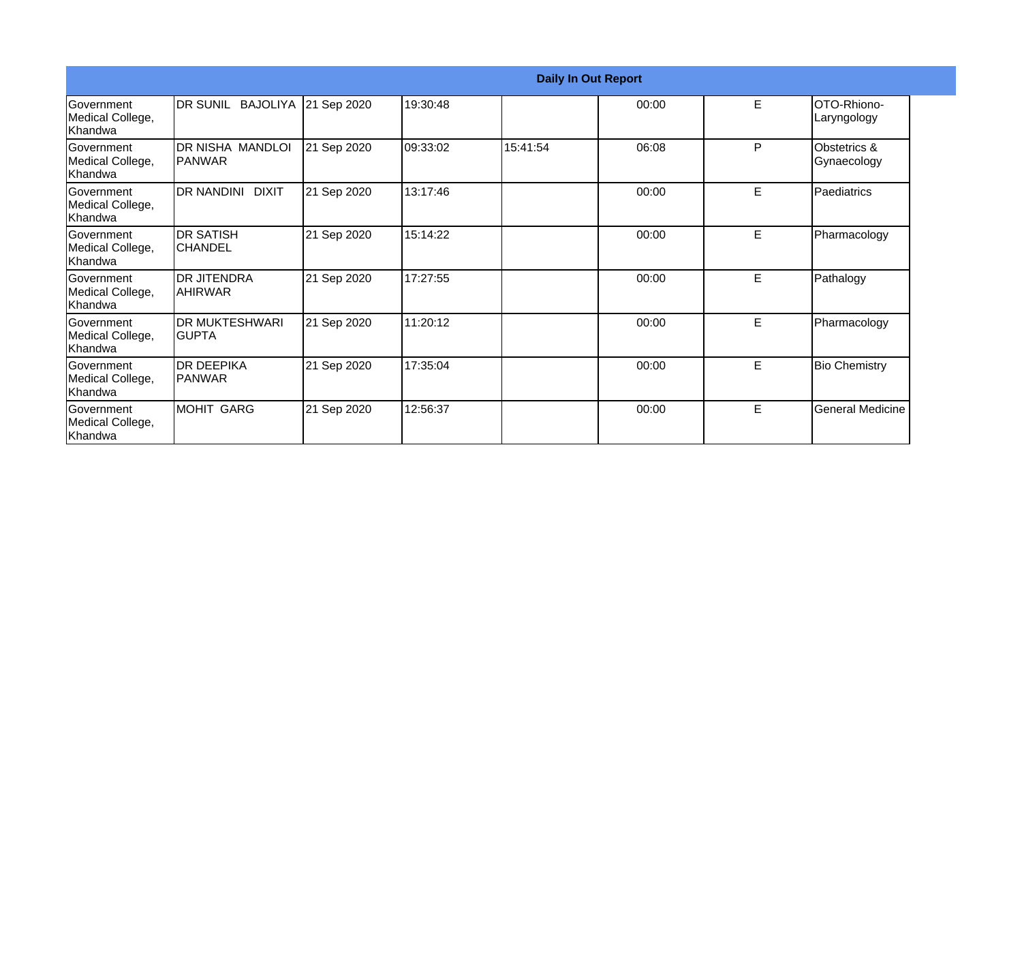|                                                  |                                       |             |          |          | <b>Daily In Out Report</b> |   |                             |
|--------------------------------------------------|---------------------------------------|-------------|----------|----------|----------------------------|---|-----------------------------|
| <b>Government</b><br>Medical College,<br>Khandwa | DR SUNIL BAJOLIYA 21 Sep 2020         |             | 19:30:48 |          | 00:00                      | E | OTO-Rhiono-<br>Laryngology  |
| Government<br>Medical College,<br>Khandwa        | DR NISHA MANDLOI<br><b>IPANWAR</b>    | 21 Sep 2020 | 09:33:02 | 15:41:54 | 06:08                      | P | Obstetrics &<br>Gynaecology |
| Government<br>Medical College,<br>Khandwa        | DR NANDINI DIXIT                      | 21 Sep 2020 | 13:17:46 |          | 00:00                      | E | Paediatrics                 |
| <b>Sovernment</b><br>Medical College,<br>Khandwa | <b>DR SATISH</b><br><b>CHANDEL</b>    | 21 Sep 2020 | 15:14:22 |          | 00:00                      | E | Pharmacology                |
| Government<br>Medical College,<br>Khandwa        | <b>DR JITENDRA</b><br>IAHIRWAR        | 21 Sep 2020 | 17:27:55 |          | 00:00                      | E | Pathalogy                   |
| Government<br>Medical College,<br>Khandwa        | <b>DR MUKTESHWARI</b><br><b>GUPTA</b> | 21 Sep 2020 | 11:20:12 |          | 00:00                      | E | Pharmacology                |
| <b>Sovernment</b><br>Medical College,<br>Khandwa | <b>IDR DEEPIKA</b><br><b>IPANWAR</b>  | 21 Sep 2020 | 17:35:04 |          | 00:00                      | E | <b>Bio Chemistry</b>        |
| Government<br>Medical College,<br>Khandwa        | <b>MOHIT GARG</b>                     | 21 Sep 2020 | 12:56:37 |          | 00:00                      | E | <b>General Medicine</b>     |